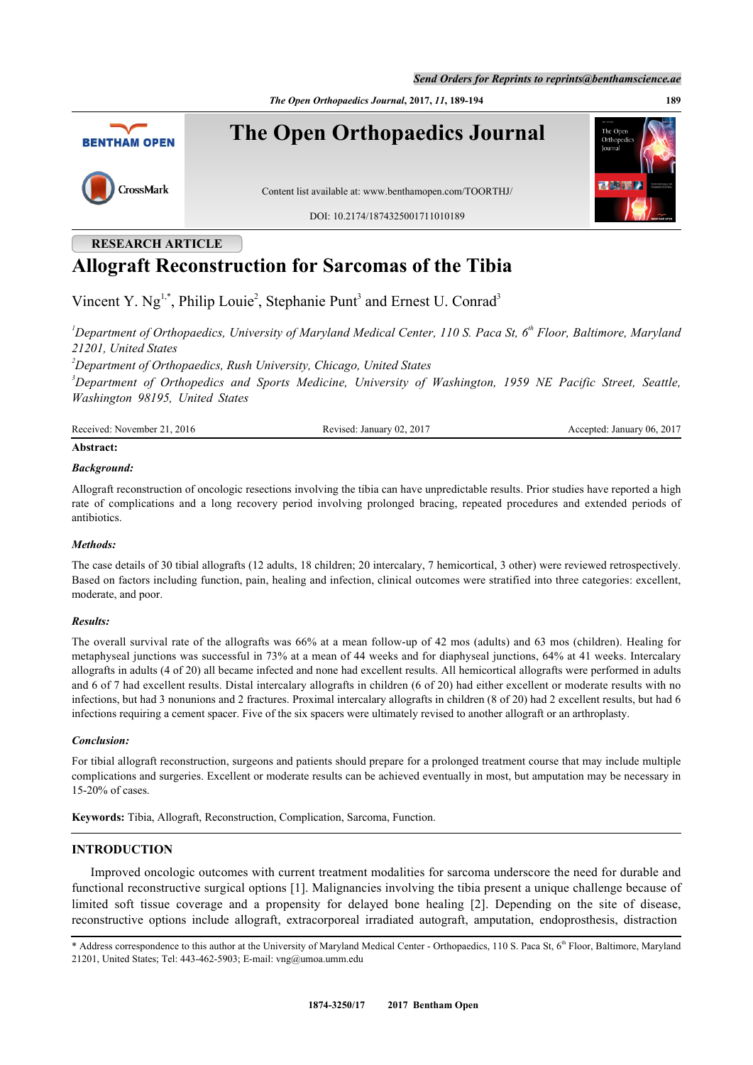*The Open Orthopaedics Journal***, 2017,** *11***, 189-194 189**



# **RESEARCH ARTICLE Allograft Reconstruction for Sarcomas of the Tibia**

Vincent Y.  $Ng^{1,*}$  $Ng^{1,*}$  $Ng^{1,*}$  $Ng^{1,*}$  $Ng^{1,*}$ , Philip Louie<sup>[2](#page-0-2)</sup>, Stephanie Punt<sup>[3](#page--1-0)</sup> and Ernest U. Conrad<sup>3</sup>

<span id="page-0-0"></span>*<sup>1</sup>Department of Orthopaedics, University of Maryland Medical Center, 110 S. Paca St, 6th Floor, Baltimore, Maryland 21201, United States*

*<sup>2</sup>Department of Orthopaedics, Rush University, Chicago, United States*

<span id="page-0-2"></span>*<sup>3</sup>Department of Orthopedics and Sports Medicine, University of Washington, 1959 NE Pacific Street, Seattle, Washington 98195, United States*

| Received:<br>2016<br>. November 1 | 201<br>Januar<br>evised<br>UZ.<br>n | . 2017<br>(06)<br>January<br>Accepted |
|-----------------------------------|-------------------------------------|---------------------------------------|
|                                   |                                     |                                       |

# **Abstract:**

#### *Background:*

Allograft reconstruction of oncologic resections involving the tibia can have unpredictable results. Prior studies have reported a high rate of complications and a long recovery period involving prolonged bracing, repeated procedures and extended periods of antibiotics.

#### *Methods:*

The case details of 30 tibial allografts (12 adults, 18 children; 20 intercalary, 7 hemicortical, 3 other) were reviewed retrospectively. Based on factors including function, pain, healing and infection, clinical outcomes were stratified into three categories: excellent, moderate, and poor.

#### *Results:*

The overall survival rate of the allografts was 66% at a mean follow-up of 42 mos (adults) and 63 mos (children). Healing for metaphyseal junctions was successful in 73% at a mean of 44 weeks and for diaphyseal junctions, 64% at 41 weeks. Intercalary allografts in adults (4 of 20) all became infected and none had excellent results. All hemicortical allografts were performed in adults and 6 of 7 had excellent results. Distal intercalary allografts in children (6 of 20) had either excellent or moderate results with no infections, but had 3 nonunions and 2 fractures. Proximal intercalary allografts in children (8 of 20) had 2 excellent results, but had 6 infections requiring a cement spacer. Five of the six spacers were ultimately revised to another allograft or an arthroplasty.

#### *Conclusion:*

For tibial allograft reconstruction, surgeons and patients should prepare for a prolonged treatment course that may include multiple complications and surgeries. Excellent or moderate results can be achieved eventually in most, but amputation may be necessary in 15-20% of cases.

**Keywords:** Tibia, Allograft, Reconstruction, Complication, Sarcoma, Function.

## **INTRODUCTION**

Improved oncologic outcomes with current treatment modalities for sarcoma underscore the need for durable and functional reconstructive surgical options [[1](#page-4-0)]. Malignancies involving the tibia present a unique challenge because of limited soft tissue coverage and a propensity for delayed bone healing [\[2\]](#page-4-1). Depending on the site of disease, reconstructive options include allograft, extracorporeal irradiated autograft, amputation, endoprosthesis, distraction

<span id="page-0-1"></span><sup>\*</sup> Address correspondence to this author at the University of Maryland Medical Center - Orthopaedics, 110 S. Paca St, 6<sup>th</sup> Floor, Baltimore, Maryland 21201, United States; Tel: 443-462-5903; E-mail: [vng@umoa.umm.edu](mailto:vng@umoa.umm.edu)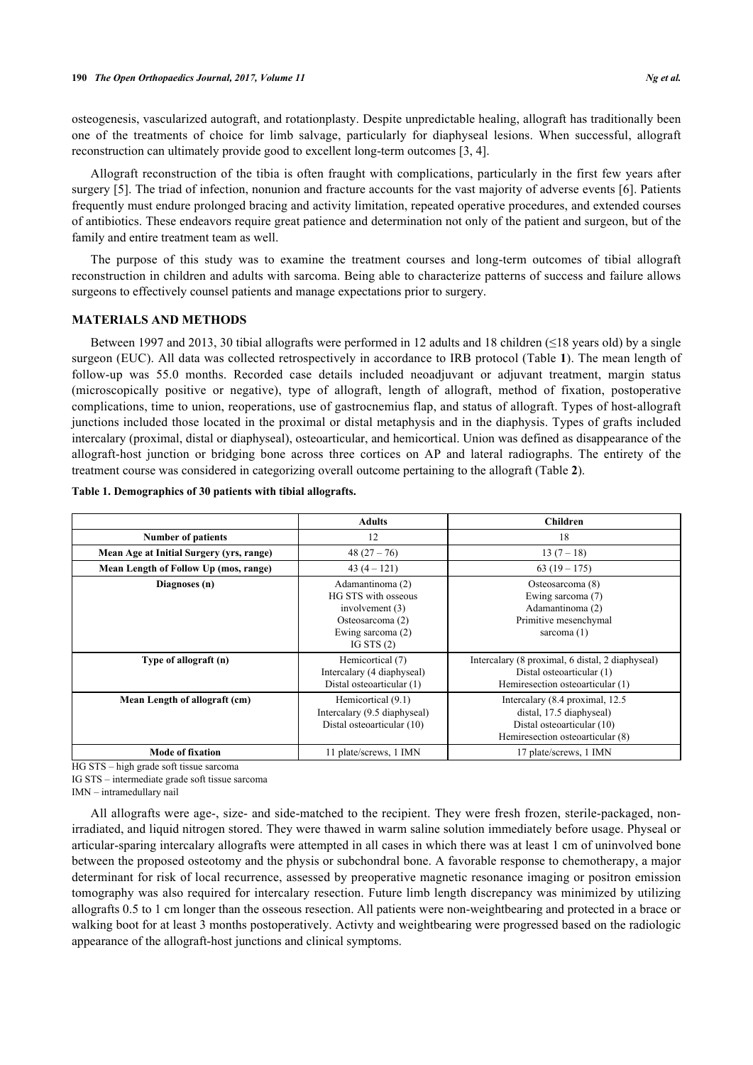osteogenesis, vascularized autograft, and rotationplasty. Despite unpredictable healing, allograft has traditionally been one of the treatments of choice for limb salvage, particularly for diaphyseal lesions. When successful, allograft reconstruction can ultimately provide good to excellent long-term outcomes [\[3](#page-4-2), [4](#page-4-3)].

Allograft reconstruction of the tibia is often fraught with complications, particularly in the first few years after surgery [\[5](#page-4-4)]. The triad of infection, nonunion and fracture accounts for the vast majority of adverse events [[6\]](#page-4-5). Patients frequently must endure prolonged bracing and activity limitation, repeated operative procedures, and extended courses of antibiotics. These endeavors require great patience and determination not only of the patient and surgeon, but of the family and entire treatment team as well.

The purpose of this study was to examine the treatment courses and long-term outcomes of tibial allograft reconstruction in children and adults with sarcoma. Being able to characterize patterns of success and failure allows surgeons to effectively counsel patients and manage expectations prior to surgery.

#### **MATERIALS AND METHODS**

Between 1997 and 2013, 30 tibial allografts were performed in 12 adults and 18 children (≤18 years old) by a single surgeon (EUC). All data was collected retrospectively in accordance to IRB protocol (Table **[1](#page--1-0)**). The mean length of follow-up was 55.0 months. Recorded case details included neoadjuvant or adjuvant treatment, margin status (microscopically positive or negative), type of allograft, length of allograft, method of fixation, postoperative complications, time to union, reoperations, use of gastrocnemius flap, and status of allograft. Types of host-allograft junctions included those located in the proximal or distal metaphysis and in the diaphysis. Types of grafts included intercalary (proximal, distal or diaphyseal), osteoarticular, and hemicortical. Union was defined as disappearance of the allograft-host junction or bridging bone across three cortices on AP and lateral radiographs. The entirety of the treatment course was considered in categorizing overall outcome pertaining to the allograft (Table **[2](#page--1-0)**).

|                                          | <b>Adults</b>                                                                                                         | <b>Children</b>                                                                                                                |
|------------------------------------------|-----------------------------------------------------------------------------------------------------------------------|--------------------------------------------------------------------------------------------------------------------------------|
| <b>Number of patients</b>                | 12                                                                                                                    | 18                                                                                                                             |
| Mean Age at Initial Surgery (yrs, range) | $48(27-76)$                                                                                                           | $13(7-18)$                                                                                                                     |
| Mean Length of Follow Up (mos, range)    | $43(4 - 121)$                                                                                                         | $63(19-175)$                                                                                                                   |
| Diagnoses (n)                            | Adamantinoma (2)<br>HG STS with osseous<br>involvement $(3)$<br>Osteosarcoma (2)<br>Ewing sarcoma (2)<br>IG STS $(2)$ | Osteosarcoma (8)<br>Ewing sarcoma (7)<br>Adamantinoma (2)<br>Primitive mesenchymal<br>sarcoma $(1)$                            |
| Type of allograft (n)                    | Hemicortical (7)<br>Intercalary (4 diaphyseal)<br>Distal osteoarticular (1)                                           | Intercalary (8 proximal, 6 distal, 2 diaphyseal)<br>Distal osteoarticular (1)<br>Hemiresection osteoarticular (1)              |
| Mean Length of allograft (cm)            | Hemicortical (9.1)<br>Intercalary (9.5 diaphyseal)<br>Distal osteoarticular (10)                                      | Intercalary (8.4 proximal, 12.5)<br>distal, 17.5 diaphyseal)<br>Distal osteoarticular (10)<br>Hemiresection osteoarticular (8) |
| <b>Mode of fixation</b>                  | 11 plate/screws, 1 IMN                                                                                                | 17 plate/screws, 1 IMN                                                                                                         |

#### **Table 1. Demographics of 30 patients with tibial allografts.**

HG STS – high grade soft tissue sarcoma

IG STS – intermediate grade soft tissue sarcoma

IMN – intramedullary nail

All allografts were age-, size- and side-matched to the recipient. They were fresh frozen, sterile-packaged, nonirradiated, and liquid nitrogen stored. They were thawed in warm saline solution immediately before usage. Physeal or articular-sparing intercalary allografts were attempted in all cases in which there was at least 1 cm of uninvolved bone between the proposed osteotomy and the physis or subchondral bone. A favorable response to chemotherapy, a major determinant for risk of local recurrence, assessed by preoperative magnetic resonance imaging or positron emission tomography was also required for intercalary resection. Future limb length discrepancy was minimized by utilizing allografts 0.5 to 1 cm longer than the osseous resection. All patients were non-weightbearing and protected in a brace or walking boot for at least 3 months postoperatively. Activty and weightbearing were progressed based on the radiologic appearance of the allograft-host junctions and clinical symptoms.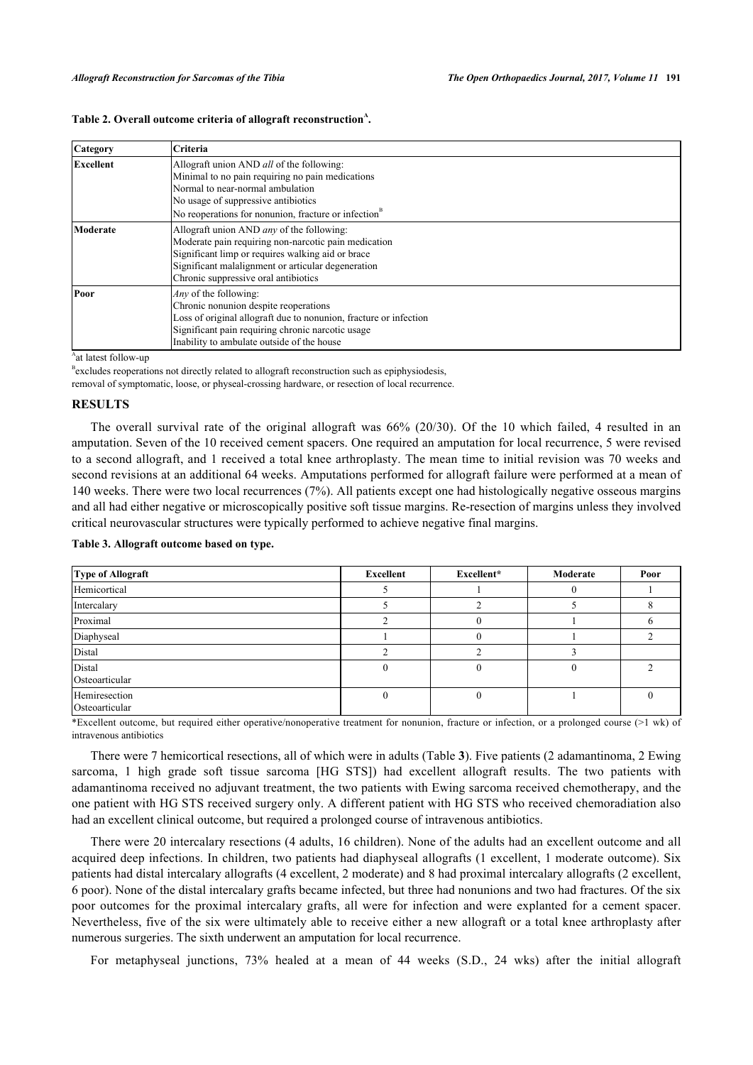| <b>Category</b>  | Criteria                                                                                                                                                                                                                                                    |
|------------------|-------------------------------------------------------------------------------------------------------------------------------------------------------------------------------------------------------------------------------------------------------------|
| <b>Excellent</b> | Allograft union AND all of the following:<br>Minimal to no pain requiring no pain medications<br>Normal to near-normal ambulation<br>No usage of suppressive antibiotics<br>No reoperations for nonunion, fracture or infection <sup>B</sup>                |
| Moderate         | Allograft union AND <i>any</i> of the following:<br>Moderate pain requiring non-narcotic pain medication<br>Significant limp or requires walking aid or brace<br>Significant malalignment or articular degeneration<br>Chronic suppressive oral antibiotics |
| Poor             | <i>Any</i> of the following:<br>Chronic nonunion despite reoperations<br>Loss of original allograft due to nonunion, fracture or infection<br>Significant pain requiring chronic narcotic usage<br>Inability to ambulate outside of the house               |

## Table 2. Overall outcome criteria of allograft reconstruction<sup>A</sup>.

<sup>A</sup>at latest follow-up

<sup>B</sup>excludes reoperations not directly related to allograft reconstruction such as epiphysiodesis,

removal of symptomatic, loose, or physeal-crossing hardware, or resection of local recurrence.

## **RESULTS**

The overall survival rate of the original allograft was 66% (20/30). Of the 10 which failed, 4 resulted in an amputation. Seven of the 10 received cement spacers. One required an amputation for local recurrence, 5 were revised to a second allograft, and 1 received a total knee arthroplasty. The mean time to initial revision was 70 weeks and second revisions at an additional 64 weeks. Amputations performed for allograft failure were performed at a mean of 140 weeks. There were two local recurrences (7%). All patients except one had histologically negative osseous margins and all had either negative or microscopically positive soft tissue margins. Re-resection of margins unless they involved critical neurovascular structures were typically performed to achieve negative final margins.

**Type of Allograft Excellent Excellent\* Moderate Poor** Hemicortical  $\begin{array}{cccc} 1 & 5 & 1 & 1 & 0 & 1 \end{array}$ Intercalary  $\begin{array}{ccccccccccc} 5 & 2 & 5 & 8 \end{array}$ Proximal 2 0 1 6 Diaphyseal 2 2 Distal  $\begin{array}{ccccccc} 2 & 2 & 2 & 3 \end{array}$ Distal Osteoarticular  $0 \qquad \qquad 0 \qquad \qquad 0 \qquad \qquad 2$ Hemiresection Osteoarticular  $0 \qquad \qquad 0 \qquad \qquad 1 \qquad \qquad 0$ 

**Table 3. Allograft outcome based on type.**

\*Excellent outcome, but required either operative/nonoperative treatment for nonunion, fracture or infection, or a prolonged course (>1 wk) of intravenous antibiotics

There were 7 hemicortical resections, all of which were in adults (Table **[3](#page--1-0)**). Five patients (2 adamantinoma, 2 Ewing sarcoma, 1 high grade soft tissue sarcoma [HG STS]) had excellent allograft results. The two patients with adamantinoma received no adjuvant treatment, the two patients with Ewing sarcoma received chemotherapy, and the one patient with HG STS received surgery only. A different patient with HG STS who received chemoradiation also had an excellent clinical outcome, but required a prolonged course of intravenous antibiotics.

There were 20 intercalary resections (4 adults, 16 children). None of the adults had an excellent outcome and all acquired deep infections. In children, two patients had diaphyseal allografts (1 excellent, 1 moderate outcome). Six patients had distal intercalary allografts (4 excellent, 2 moderate) and 8 had proximal intercalary allografts (2 excellent, 6 poor). None of the distal intercalary grafts became infected, but three had nonunions and two had fractures. Of the six poor outcomes for the proximal intercalary grafts, all were for infection and were explanted for a cement spacer. Nevertheless, five of the six were ultimately able to receive either a new allograft or a total knee arthroplasty after numerous surgeries. The sixth underwent an amputation for local recurrence.

For metaphyseal junctions, 73% healed at a mean of 44 weeks (S.D., 24 wks) after the initial allograft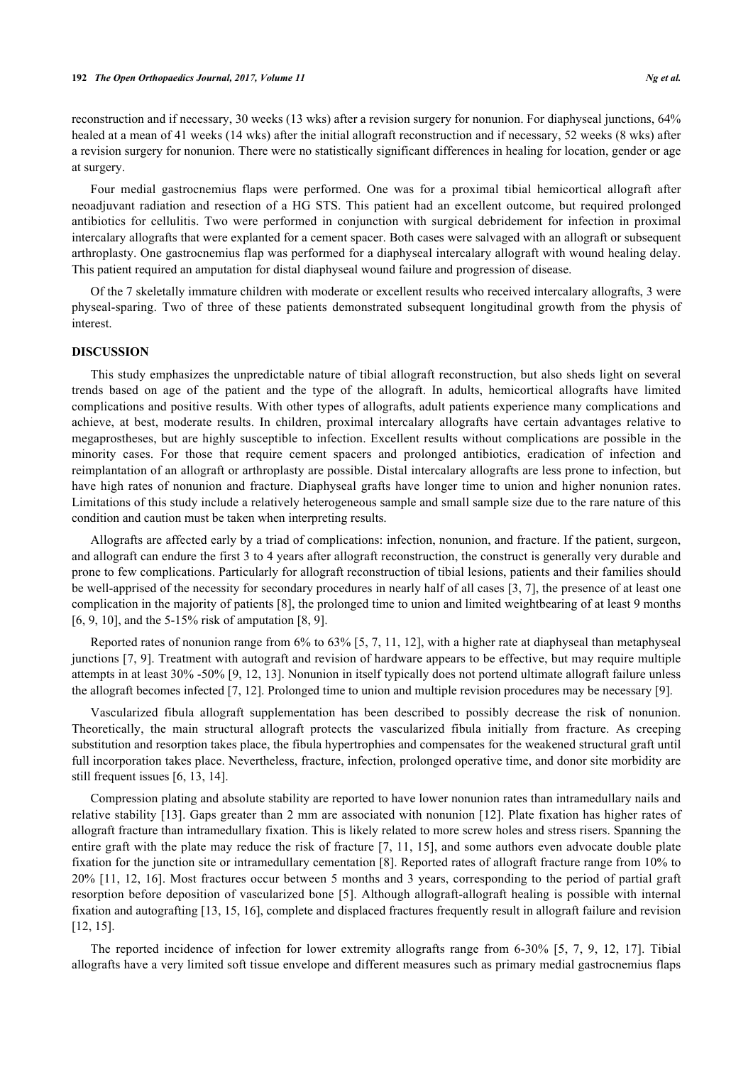reconstruction and if necessary, 30 weeks (13 wks) after a revision surgery for nonunion. For diaphyseal junctions, 64% healed at a mean of 41 weeks (14 wks) after the initial allograft reconstruction and if necessary, 52 weeks (8 wks) after a revision surgery for nonunion. There were no statistically significant differences in healing for location, gender or age at surgery.

Four medial gastrocnemius flaps were performed. One was for a proximal tibial hemicortical allograft after neoadjuvant radiation and resection of a HG STS. This patient had an excellent outcome, but required prolonged antibiotics for cellulitis. Two were performed in conjunction with surgical debridement for infection in proximal intercalary allografts that were explanted for a cement spacer. Both cases were salvaged with an allograft or subsequent arthroplasty. One gastrocnemius flap was performed for a diaphyseal intercalary allograft with wound healing delay. This patient required an amputation for distal diaphyseal wound failure and progression of disease.

Of the 7 skeletally immature children with moderate or excellent results who received intercalary allografts, 3 were physeal-sparing. Two of three of these patients demonstrated subsequent longitudinal growth from the physis of interest.

## **DISCUSSION**

This study emphasizes the unpredictable nature of tibial allograft reconstruction, but also sheds light on several trends based on age of the patient and the type of the allograft. In adults, hemicortical allografts have limited complications and positive results. With other types of allografts, adult patients experience many complications and achieve, at best, moderate results. In children, proximal intercalary allografts have certain advantages relative to megaprostheses, but are highly susceptible to infection. Excellent results without complications are possible in the minority cases. For those that require cement spacers and prolonged antibiotics, eradication of infection and reimplantation of an allograft or arthroplasty are possible. Distal intercalary allografts are less prone to infection, but have high rates of nonunion and fracture. Diaphyseal grafts have longer time to union and higher nonunion rates. Limitations of this study include a relatively heterogeneous sample and small sample size due to the rare nature of this condition and caution must be taken when interpreting results.

Allografts are affected early by a triad of complications: infection, nonunion, and fracture. If the patient, surgeon, and allograft can endure the first 3 to 4 years after allograft reconstruction, the construct is generally very durable and prone to few complications. Particularly for allograft reconstruction of tibial lesions, patients and their families should be well-apprised of the necessity for secondary procedures in nearly half of all cases [[3](#page-4-2), [7](#page-5-0)], the presence of at least one complication in the majority of patients [\[8](#page-5-1)], the prolonged time to union and limited weightbearing of at least 9 months [\[6](#page-4-5), [9](#page-5-2), [10](#page-5-3)], and the 5-15% risk of amputation [\[8](#page-5-1), [9](#page-5-2)].

Reported rates of nonunion range from 6% to 63% [[5,](#page-4-4) [7,](#page-5-0) [11](#page-5-4), [12](#page-5-5)], with a higher rate at diaphyseal than metaphyseal junctions [[7,](#page-5-0) [9](#page-5-2)]. Treatment with autograft and revision of hardware appears to be effective, but may require multiple attempts in at least 30% -50% [[9,](#page-5-2) [12](#page-5-5), [13](#page-5-6)]. Nonunion in itself typically does not portend ultimate allograft failure unless the allograft becomes infected [\[7](#page-5-0), [12](#page-5-5)]. Prolonged time to union and multiple revision procedures may be necessary [\[9](#page-5-2)].

Vascularized fibula allograft supplementation has been described to possibly decrease the risk of nonunion. Theoretically, the main structural allograft protects the vascularized fibula initially from fracture. As creeping substitution and resorption takes place, the fibula hypertrophies and compensates for the weakened structural graft until full incorporation takes place. Nevertheless, fracture, infection, prolonged operative time, and donor site morbidity are still frequent issues [[6,](#page-4-5) [13,](#page-5-6) [14\]](#page-5-7).

Compression plating and absolute stability are reported to have lower nonunion rates than intramedullary nails and relative stability [[13\]](#page-5-6). Gaps greater than 2 mm are associated with nonunion [[12\]](#page-5-5). Plate fixation has higher rates of allograft fracture than intramedullary fixation. This is likely related to more screw holes and stress risers. Spanning the entire graft with the plate may reduce the risk of fracture [[7,](#page-5-0) [11,](#page-5-4) [15\]](#page-5-8), and some authors even advocate double plate fixation for the junction site or intramedullary cementation [\[8](#page-5-1)]. Reported rates of allograft fracture range from 10% to 20% [\[11](#page-5-4), [12,](#page-5-5) [16\]](#page-5-9). Most fractures occur between 5 months and 3 years, corresponding to the period of partial graft resorption before deposition of vascularized bone [\[5](#page-4-4)]. Although allograft-allograft healing is possible with internal fixation and autografting [\[13](#page-5-6), [15](#page-5-8), [16](#page-5-9)], complete and displaced fractures frequently result in allograft failure and revision [\[12](#page-5-5), [15](#page-5-8)].

The reported incidence of infection for lower extremity allografts range from 6-30%[[5,](#page-4-4) [7](#page-5-0), [9](#page-5-2), [12](#page-5-5), [17](#page-5-10)]. Tibial allografts have a very limited soft tissue envelope and different measures such as primary medial gastrocnemius flaps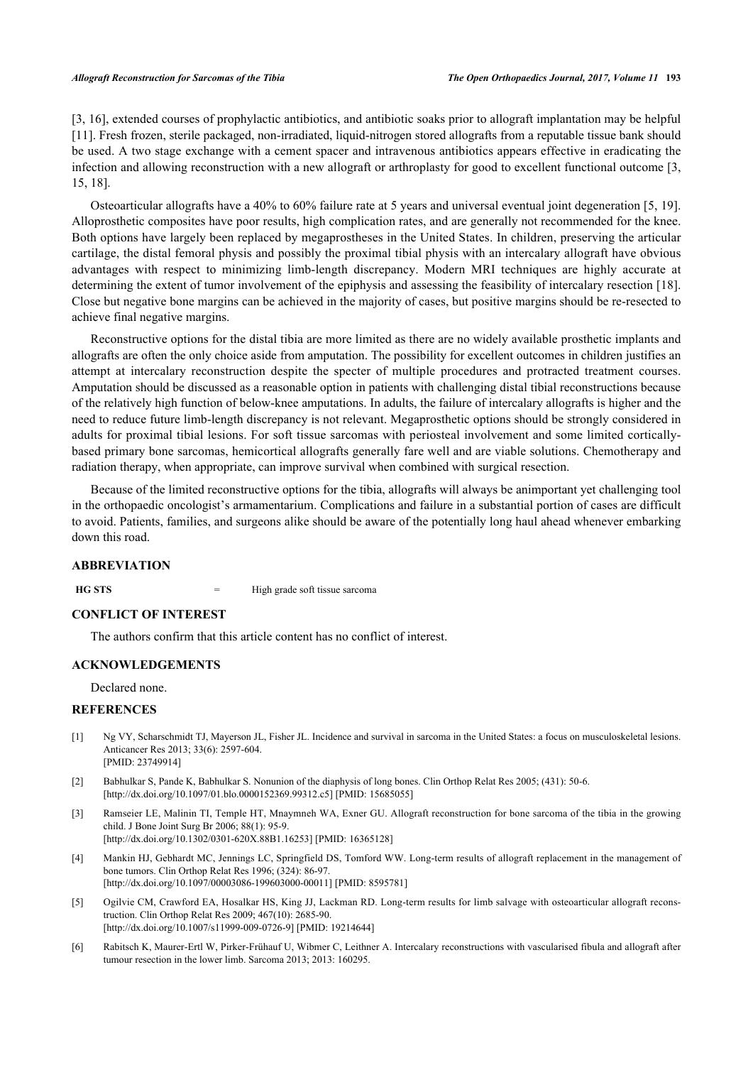[\[3](#page-4-2), [16](#page-5-9)], extended courses of prophylactic antibiotics, and antibiotic soaks prior to allograft implantation may be helpful [\[11](#page-5-4)]. Fresh frozen, sterile packaged, non-irradiated, liquid-nitrogen stored allografts from a reputable tissue bank should be used. A two stage exchange with a cement spacer and intravenous antibiotics appears effective in eradicating the infection and allowing reconstruction with a new allograft or arthroplasty for good to excellent functional outcome [[3](#page-4-2), [15,](#page-5-8) [18\]](#page-5-11).

Osteoarticular allografts have a 40% to 60% failure rate at 5 years and universal eventual joint degeneration [[5,](#page-4-4) [19\]](#page-5-12). Alloprosthetic composites have poor results, high complication rates, and are generally not recommended for the knee. Both options have largely been replaced by megaprostheses in the United States. In children, preserving the articular cartilage, the distal femoral physis and possibly the proximal tibial physis with an intercalary allograft have obvious advantages with respect to minimizing limb-length discrepancy. Modern MRI techniques are highly accurate at determining the extent of tumor involvement of the epiphysis and assessing the feasibility of intercalary resection [[18\]](#page-5-11). Close but negative bone margins can be achieved in the majority of cases, but positive margins should be re-resected to achieve final negative margins.

Reconstructive options for the distal tibia are more limited as there are no widely available prosthetic implants and allografts are often the only choice aside from amputation. The possibility for excellent outcomes in children justifies an attempt at intercalary reconstruction despite the specter of multiple procedures and protracted treatment courses. Amputation should be discussed as a reasonable option in patients with challenging distal tibial reconstructions because of the relatively high function of below-knee amputations. In adults, the failure of intercalary allografts is higher and the need to reduce future limb-length discrepancy is not relevant. Megaprosthetic options should be strongly considered in adults for proximal tibial lesions. For soft tissue sarcomas with periosteal involvement and some limited corticallybased primary bone sarcomas, hemicortical allografts generally fare well and are viable solutions. Chemotherapy and radiation therapy, when appropriate, can improve survival when combined with surgical resection.

Because of the limited reconstructive options for the tibia, allografts will always be animportant yet challenging tool in the orthopaedic oncologist's armamentarium. Complications and failure in a substantial portion of cases are difficult to avoid. Patients, families, and surgeons alike should be aware of the potentially long haul ahead whenever embarking down this road.

# **ABBREVIATION**

**HG STS** = High grade soft tissue sarcoma

## **CONFLICT OF INTEREST**

The authors confirm that this article content has no conflict of interest.

## **ACKNOWLEDGEMENTS**

Declared none.

#### **REFERENCES**

- <span id="page-4-0"></span>[1] Ng VY, Scharschmidt TJ, Mayerson JL, Fisher JL. Incidence and survival in sarcoma in the United States: a focus on musculoskeletal lesions. Anticancer Res 2013; 33(6): 2597-604. [PMID: [23749914\]](http://www.ncbi.nlm.nih.gov/pubmed/23749914)
- <span id="page-4-1"></span>[2] Babhulkar S, Pande K, Babhulkar S. Nonunion of the diaphysis of long bones. Clin Orthop Relat Res 2005; (431): 50-6. [\[http://dx.doi.org/10.1097/01.blo.0000152369.99312.c5\]](http://dx.doi.org/10.1097/01.blo.0000152369.99312.c5) [PMID: [15685055](http://www.ncbi.nlm.nih.gov/pubmed/15685055)]
- <span id="page-4-2"></span>[3] Ramseier LE, Malinin TI, Temple HT, Mnaymneh WA, Exner GU. Allograft reconstruction for bone sarcoma of the tibia in the growing child. J Bone Joint Surg Br 2006; 88(1): 95-9. [\[http://dx.doi.org/10.1302/0301-620X.88B1.16253\]](http://dx.doi.org/10.1302/0301-620X.88B1.16253) [PMID: [16365128](http://www.ncbi.nlm.nih.gov/pubmed/16365128)]
- <span id="page-4-3"></span>[4] Mankin HJ, Gebhardt MC, Jennings LC, Springfield DS, Tomford WW. Long-term results of allograft replacement in the management of bone tumors. Clin Orthop Relat Res 1996; (324): 86-97. [\[http://dx.doi.org/10.1097/00003086-199603000-00011](http://dx.doi.org/10.1097/00003086-199603000-00011)] [PMID: [8595781\]](http://www.ncbi.nlm.nih.gov/pubmed/8595781)
- <span id="page-4-4"></span>[5] Ogilvie CM, Crawford EA, Hosalkar HS, King JJ, Lackman RD. Long-term results for limb salvage with osteoarticular allograft reconstruction. Clin Orthop Relat Res 2009; 467(10): 2685-90. [\[http://dx.doi.org/10.1007/s11999-009-0726-9\]](http://dx.doi.org/10.1007/s11999-009-0726-9) [PMID: [19214644](http://www.ncbi.nlm.nih.gov/pubmed/19214644)]
- <span id="page-4-5"></span>[6] Rabitsch K, Maurer-Ertl W, Pirker-Frühauf U, Wibmer C, Leithner A. Intercalary reconstructions with vascularised fibula and allograft after tumour resection in the lower limb. Sarcoma 2013; 2013: 160295.